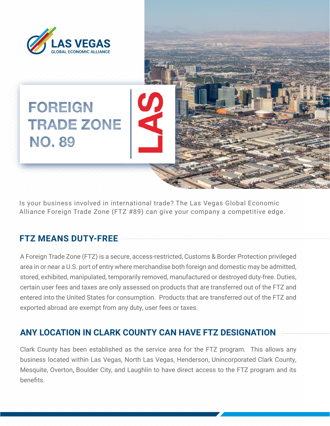

Is your business involved in international trade? The Las Vegas Global Economic Alliance Foreign Trade Zone (FTZ #89) can give your company a competitive edge.

## **FTZ MEANS DUTY-FREE**

A Foreign Trade Zone (FTZ) is a secure, access-restricted, Customs & Border Protection privileged area in or near a U.S. port of entry where merchandise both foreign and domestic may be admitted, stored, exhibited, manipulated, temporarily removed, manufactured or destroyed duty-free. Duties, certain user fees and taxes are only assessed on products that are transferred out of the FTZ and entered into the United States for consumption. Products that are transferred out of the FTZ and exported abroad are exempt from any duty, user fees or taxes.

### **ANY LOCATION IN CLARK COUNTY CAN HAVE FTZ DESIGNATION**

Clark County has been established as the service area for the FTZ program. This allows any business located within Las Vegas, North Las Vegas, Henderson, Unincorporated Clark County, Mesquite, Overton, Boulder City, and Laughlin to have direct access to the FTZ program and its benefits.